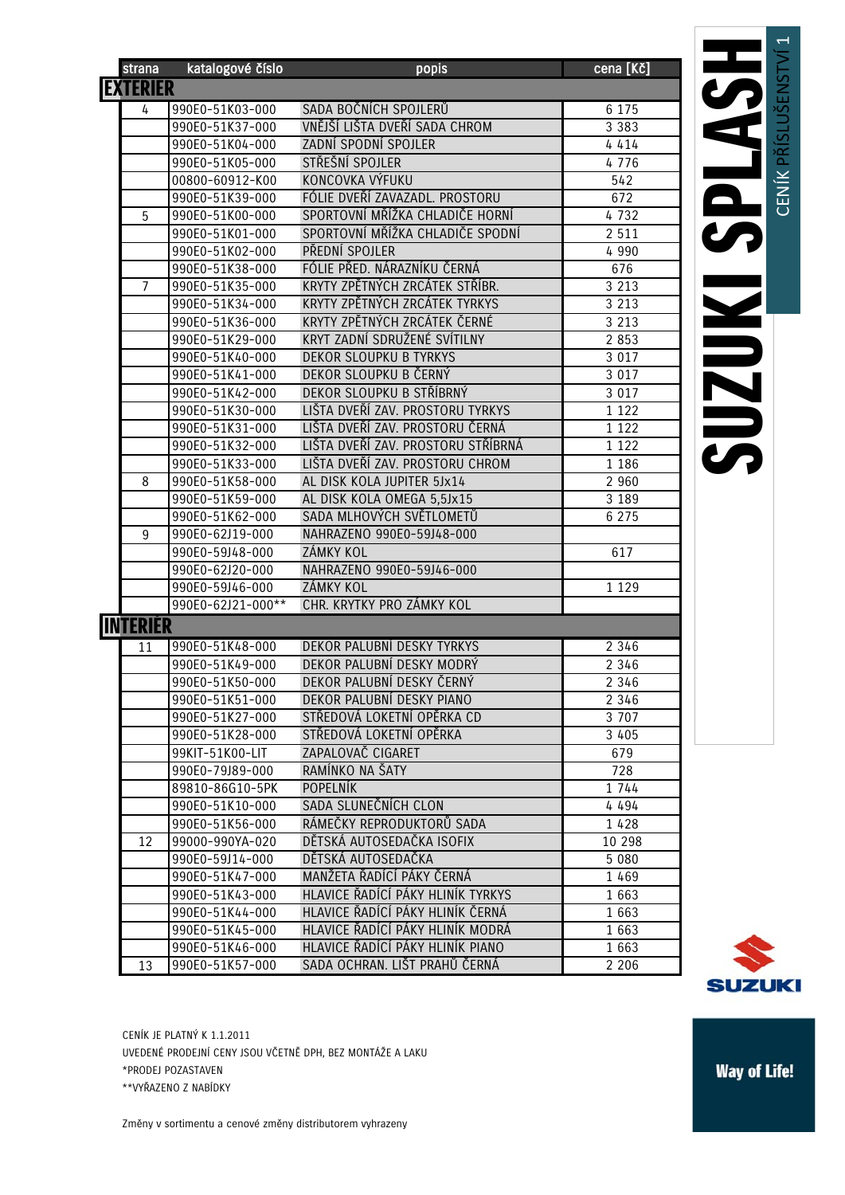| strana          | katalogové číslo  | popis                              | cena [Kč]          |
|-----------------|-------------------|------------------------------------|--------------------|
| <b>EXTERIÉR</b> |                   |                                    |                    |
| 4               | 990E0-51K03-000   | SADA BOČNÍCH SPOJLERŮ              | 6 1 7 5            |
|                 | 990E0-51K37-000   | VNĚJŠÍ LIŠTA DVEŘÍ SADA CHROM      | 3 3 8 3            |
|                 | 990E0-51K04-000   | ZADNÍ SPODNÍ SPOJLER               | 4414               |
|                 | 990E0-51K05-000   | STŘEŠNÍ SPOJLER                    | 4776               |
|                 | 00800-60912-K00   | KONCOVKA VÝFUKU                    | 542                |
|                 | 990E0-51K39-000   | FÓLIE DVEŘÍ ZAVAZADL. PROSTORU     | 672                |
| 5               | 990E0-51K00-000   | SPORTOVNÍ MŘÍŽKA CHLADIČE HORNÍ    | 4732               |
|                 | 990E0-51K01-000   | SPORTOVNÍ MŘÍŽKA CHLADIČE SPODNÍ   | 2 5 1 1            |
|                 | 990E0-51K02-000   | PŘEDNÍ SPOJLER                     | 4 9 9 0            |
|                 | 990E0-51K38-000   | FÓLIE PŘED. NÁRAZNÍKU ČERNÁ        | 676                |
| $\overline{7}$  | 990E0-51K35-000   | KRYTY ZPĚTNÝCH ZRCÁTEK STŘÍBR.     | $\overline{3}$ 213 |
|                 | 990E0-51K34-000   | KRYTY ZPĚTNÝCH ZRCÁTEK TYRKYS      | 3 2 1 3            |
|                 | 990E0-51K36-000   | KRYTY ZPĚTNÝCH ZRCÁTEK ČERNÉ       | 3 2 1 3            |
|                 | 990E0-51K29-000   | KRYT ZADNÍ SDRUŽENÉ SVÍTILNY       | 2 8 5 3            |
|                 | 990E0-51K40-000   | DEKOR SLOUPKU B TYRKYS             | 3 0 1 7            |
|                 | 990E0-51K41-000   | DEKOR SLOUPKU B ČERNÝ              | 3 0 1 7            |
|                 | 990E0-51K42-000   | DEKOR SLOUPKU B STŘÍBRNÝ           | 3 0 1 7            |
|                 | 990E0-51K30-000   | LIŠTA DVEŘÍ ZAV. PROSTORU TYRKYS   | 1 1 2 2            |
|                 | 990E0-51K31-000   | LIŠTA DVEŘÍ ZAV. PROSTORU ČERNÁ    | 1 1 2 2            |
|                 | 990E0-51K32-000   | LIŠTA DVEŘÍ ZAV. PROSTORU STŘÍBRNÁ | 1 1 2 2            |
|                 | 990E0-51K33-000   | LIŠTA DVEŘÍ ZAV. PROSTORU CHROM    | 1 1 8 6            |
| 8               | 990E0-51K58-000   | AL DISK KOLA JUPITER 5Jx14         | 2 9 6 0            |
|                 | 990E0-51K59-000   | AL DISK KOLA OMEGA 5,5Jx15         | 3 1 8 9            |
|                 | 990E0-51K62-000   | SADA MLHOVÝCH SVĚTLOMETŮ           | 6 2 7 5            |
| 9               | 990E0-62J19-000   | NAHRAZENO 990E0-59J48-000          |                    |
|                 | 990E0-59J48-000   | ZÁMKY KOL                          | 617                |
|                 | 990E0-62J20-000   | NAHRAZENO 990E0-59J46-000          |                    |
|                 | 990E0-59J46-000   | ZÁMKY KOL                          | 1 1 2 9            |
|                 | 990E0-62J21-000** | CHR. KRYTKY PRO ZÁMKY KOL          |                    |
| <b>INTERIÉR</b> |                   |                                    |                    |
| 11              | 990E0-51K48-000   | DEKOR PALUBNÍ DESKY TYRKYS         | 2 3 4 6            |
|                 | 990E0-51K49-000   | DEKOR PALUBNÍ DESKY MODRÝ          | 2 3 4 6            |
|                 | 990E0-51K50-000   | DEKOR PALUBNÍ DESKY ČERNÝ          | 2 3 4 6            |
|                 | 990E0-51K51-000   | DEKOR PALUBNÍ DESKY PIANO          | 2 3 4 6            |
|                 | 990E0-51K27-000   | STŘEDOVÁ LOKETNÍ OPĚRKA CD         | 3 7 0 7            |
|                 | 990E0-51K28-000   | STŘEDOVÁ LOKETNÍ OPĚRKA            | 3 4 0 5            |
|                 | 99KIT-51K00-LIT   | ZAPALOVAČ CIGARET                  | 679                |
|                 | 990E0-79J89-000   | RAMÍNKO NA ŠATY                    | 728                |
|                 | 89810-86G10-5PK   | <b>POPELNÍK</b>                    | 1 744              |
|                 | 990E0-51K10-000   | SADA SLUNEČNÍCH CLON               | 4 4 9 4            |
|                 | 990E0-51K56-000   | RÁMEČKY REPRODUKTORŮ SADA          | 1 4 2 8            |
| 12              | 99000-990YA-020   | DĚTSKÁ AUTOSEDAČKA ISOFIX          | 10 298             |
|                 | 990E0-59J14-000   | DĚTSKÁ AUTOSEDAČKA                 | 5 0 8 0            |
|                 | 990E0-51K47-000   | MANŽETA ŘADÍCÍ PÁKY ČERNÁ          | 1 4 6 9            |
|                 | 990E0-51K43-000   | HLAVICE ŘADÍCÍ PÁKY HLINÍK TYRKYS  | 1 6 6 3            |
|                 | 990E0-51K44-000   | HLAVICE ŘADÍCÍ PÁKY HLINÍK ČERNÁ   | 1 6 6 3            |
|                 | 990E0-51K45-000   | HLAVICE ŘADÍCÍ PÁKY HLINÍK MODRÁ   | 1 663              |
|                 | 990E0-51K46-000   | HLAVICE ŘADÍCÍ PÁKY HLINÍK PIANO   | 1663               |
| 13              | 990E0-51K57-000   | SADA OCHRAN. LIŠT PRAHŮ ČERNÁ      | 2 2 0 6            |
|                 |                   |                                    |                    |

 $\overline{\phantom{0}}$ 

**SUZUKI** 

CENÍK JE PLATNÝ K 1.1.2011 UVEDENÉ PRODEJNÍ CENY JSOU VČETNĚ DPH, BEZ MONTÁŽE A LAKU \*PRODEJ POZASTAVEN \*\*VYŘAZENO Z NABÍDKY

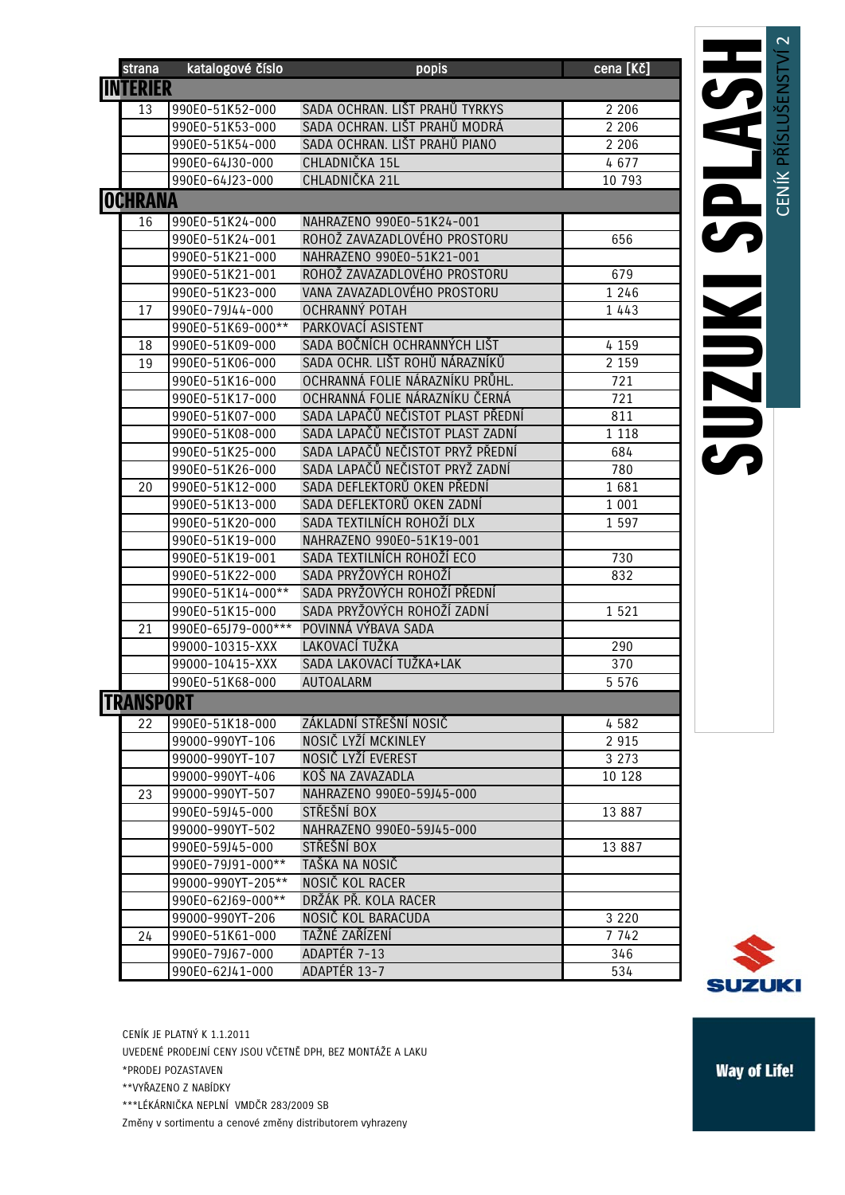| strana           | katalogové číslo   | popis                             | cena [Kč] |
|------------------|--------------------|-----------------------------------|-----------|
| <b>INTERIER</b>  |                    |                                   |           |
| 13               | 990E0-51K52-000    | SADA OCHRAN. LIŠT PRAHŮ TYRKYS    | 2 2 0 6   |
|                  | 990E0-51K53-000    | SADA OCHRAN. LIŠT PRAHŮ MODRÁ     | 2 2 0 6   |
|                  | 990E0-51K54-000    | SADA OCHRAN. LIŠT PRAHŮ PIANO     | 2 2 0 6   |
|                  | 990E0-64J30-000    | CHLADNIČKA 15L                    | 4677      |
|                  | 990E0-64J23-000    | CHLADNIČKA 21L                    | 10 793    |
| <b>OCHRANA</b>   |                    |                                   |           |
| 16               | 990E0-51K24-000    | NAHRAZENO 990E0-51K24-001         |           |
|                  | 990E0-51K24-001    | ROHOŽ ZAVAZADLOVÉHO PROSTORU      | 656       |
|                  | 990E0-51K21-000    | NAHRAZENO 990E0-51K21-001         |           |
|                  | 990E0-51K21-001    | ROHOŽ ZAVAZADLOVÉHO PROSTORU      | 679       |
|                  | 990E0-51K23-000    | VANA ZAVAZADLOVÉHO PROSTORU       | 1 2 4 6   |
| 17               | 990E0-79J44-000    | OCHRANNÝ POTAH                    | 1 4 4 3   |
|                  | 990E0-51K69-000**  | PARKOVACÍ ASISTENT                |           |
| 18               | 990E0-51K09-000    | SADA BOČNÍCH OCHRANNÝCH LIŠT      | 4 1 5 9   |
| 19               | 990E0-51K06-000    | SADA OCHR. LIŠT ROHŮ NÁRAZNÍKŮ    | 2 1 5 9   |
|                  | 990E0-51K16-000    | OCHRANNÁ FOLIE NÁRAZNÍKU PRŮHL.   | 721       |
|                  | 990E0-51K17-000    | OCHRANNÁ FOLIE NÁRAZNÍKU ČERNÁ    | 721       |
|                  | 990E0-51K07-000    | SADA LAPAČŮ NEČISTOT PLAST PŘEDNÍ | 811       |
|                  | 990E0-51K08-000    | SADA LAPAČŮ NEČISTOT PLAST ZADNÍ  | 1 1 1 8   |
|                  | 990E0-51K25-000    | SADA LAPAČŮ NEČISTOT PRYŽ PŘEDNÍ  | 684       |
|                  | 990E0-51K26-000    | SADA LAPAČŮ NEČISTOT PRYŽ ZADNÍ   | 780       |
| 20               | 990E0-51K12-000    | SADA DEFLEKTORŮ OKEN PŘEDNÍ       | 1681      |
|                  | 990E0-51K13-000    | SADA DEFLEKTORŮ OKEN ZADNÍ        | 1 0 0 1   |
|                  | 990E0-51K20-000    | SADA TEXTILNÍCH ROHOŽÍ DLX        | 1 5 9 7   |
|                  | 990E0-51K19-000    | NAHRAZENO 990E0-51K19-001         |           |
|                  | 990E0-51K19-001    | SADA TEXTILNÍCH ROHOŽÍ ECO        | 730       |
|                  | 990E0-51K22-000    | SADA PRYŽOVÝCH ROHOŽÍ             | 832       |
|                  | 990E0-51K14-000**  | SADA PRYŽOVÝCH ROHOŽÍ PŘEDNÍ      |           |
|                  | 990E0-51K15-000    | SADA PRYŽOVÝCH ROHOŽÍ ZADNÍ       | 1521      |
| 21               | 990E0-65J79-000*** | POVINNÁ VÝBAVA SADA               |           |
|                  | 99000-10315-XXX    | LAKOVACÍ TUŽKA                    | 290       |
|                  | 99000-10415-XXX    | SADA LAKOVACÍ TUŽKA+LAK           | 370       |
|                  | 990E0-51K68-000    | <b>AUTOALARM</b>                  | 5 5 7 6   |
| <b>TRANSPORT</b> |                    |                                   |           |
| 22               | 990E0-51K18-000    | ZÁKLADNÍ STŘEŠNÍ NOSIČ            | 4582      |
|                  | 99000-990YT-106    | NOSIČ LYŽÍ MCKINLEY               | 2 9 1 5   |
|                  | 99000-990YT-107    | NOSIČ LYŽÍ EVEREST                | 3 2 7 3   |
|                  | 99000-990YT-406    | KOŠ NA ZAVAZADLA                  | 10 128    |
| 23               | 99000-990YT-507    | NAHRAZENO 990E0-59J45-000         |           |
|                  | 990E0-59J45-000    | STŘEŠNÍ BOX                       | 13 887    |
|                  | 99000-990YT-502    | NAHRAZENO 990E0-59J45-000         |           |
|                  | 990E0-59J45-000    | STŘEŠNÍ BOX                       | 13 887    |
|                  | 990E0-79J91-000**  | TAŠKA NA NOSIČ                    |           |
|                  | 99000-990YT-205**  | NOSIČ KOL RACER                   |           |
|                  | 990E0-62J69-000**  | DRŽÁK PŘ. KOLA RACER              |           |
|                  | 99000-990YT-206    | NOSIČ KOL BARACUDA                | 3 2 2 0   |
| 24               | 990E0-51K61-000    | TAŽNÉ ZAŘÍZENÍ                    | 7 742     |
|                  | 990E0-79J67-000    | ADAPTÉR 7-13                      | 346       |
|                  | 990E0-62J41-000    | ADAPTÉR 13-7                      | 534       |



CENÍK JE PLATNÝ K 1.1.2011

UVEDENÉ PRODEJNÍ CENY JSOU VČETNĚ DPH, BEZ MONTÁŽE A LAKU

\*PRODEJ POZASTAVEN

\*\*VYŘAZENO Z NABÍDKY

\*\*\*LÉKÁRNIČKA NEPLNÍ VMDČR 283/2009 SB

Změny v sortimentu a cenové změny distributorem vyhrazeny

**Way of Life!**